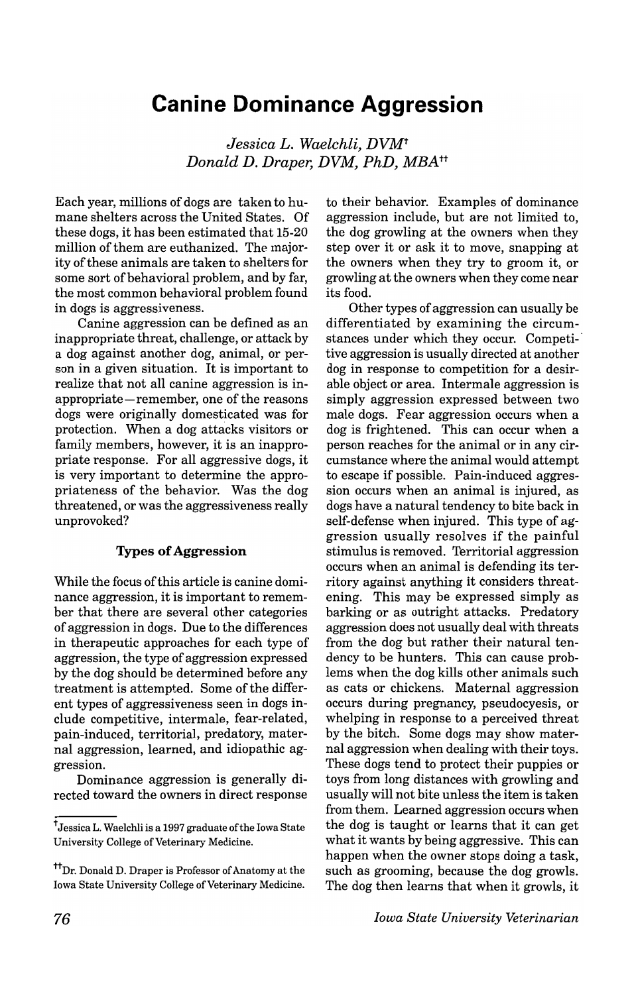# **Canine Dominance Aggression**

*Jessica L. Waelchli, DVMt Donald D. Draper, DVM, PhD, MBAtt* 

Each year, millions of dogs are taken to humane shelters across the United States. Of these dogs, it has been estimated that 15-20 million of them are euthanized. The majority of these animals are taken to shelters for some sort of behavioral problem, and by far, the most common behavioral problem found in dogs is aggressiveness.

Canine aggression can be defined as an inappropriate threat, challenge, or attack by a dog against another dog, animal, or person in a given situation. It is important to realize that not all canine aggression is inappropriate-remember, one of the reasons dogs were originally domesticated was for protection. When a dog attacks visitors or family members, however, it is an inappropriate response. For all aggressive dogs, it is very important to determine the appropriateness of the behavior. Was the dog threatened, or was the aggressiveness really unprovoked?

## Types **of** Aggression

While the focus of this article is canine dominance aggression, it is important to remember that there are several other categories of aggression in dogs. Due to the differences in therapeutic approaches for each type of aggression, the type of aggression expressed by the dog should be determined before any treatment is attempted. Some of the different types of aggressiveness seen in dogs include competitive, intermale, fear-related, pain-induced, territorial, predatory, maternal aggression, learned, and idiopathic aggression.

Dominance aggression is generally directed toward the owners in direct response to their behavior. Examples of dominance aggression include, but are not limited to, the dog growling at the owners when they step over it or ask it to move, snapping at the owners when they try to groom it, or growling at the owners when they come near its food.

Other types of aggression can usually be differentiated by examining the circumstances under which they occur. Competitive aggression is usually directed at another dog in response to competition for a desirable object or area. Intermale aggression is simply aggression expressed between two male dogs. Fear aggression occurs when a dog is frightened. This can occur when a person reaches for the animal or in any circumstance where the animal would attempt to escape if possible. Pain-induced aggression occurs when an animal is injured, as dogs have a natural tendency to bite back in self-defense when injured. This type of aggression usually resolves if the painful stimulus is removed. Territorial aggression occurs when an animal is defending its territory against anything it considers threatening. This may be expressed simply as barking or as outright attacks. Predatory aggression does not usually deal with threats from the dog but rather their natural tendency to be hunters. This can cause problems when the dog kills other animals such as cats or chickens. Maternal aggression occurs during pregnancy, pseudocyesis, or whelping in response to a perceived threat by the bitch. Some dogs may show maternal aggression when dealing with their toys. These dogs tend to protect their puppies or toys from long distances with growling and usually will not bite unless the item is taken from them. Learned aggression occurs when the dog is taught or learns that it can get what it wants by being aggressive. This can happen when the owner stops doing a task, such as grooming, because the dog growls. The dog then learns that when it growls, it

t Jessica L. Waelchli is a 1997 graduate of the Iowa State University College of Veterinary Medicine.

<sup>&</sup>lt;sup>tt</sup>Dr. Donald D. Draper is Professor of Anatomy at the Iowa State University College of Veterinary Medicine.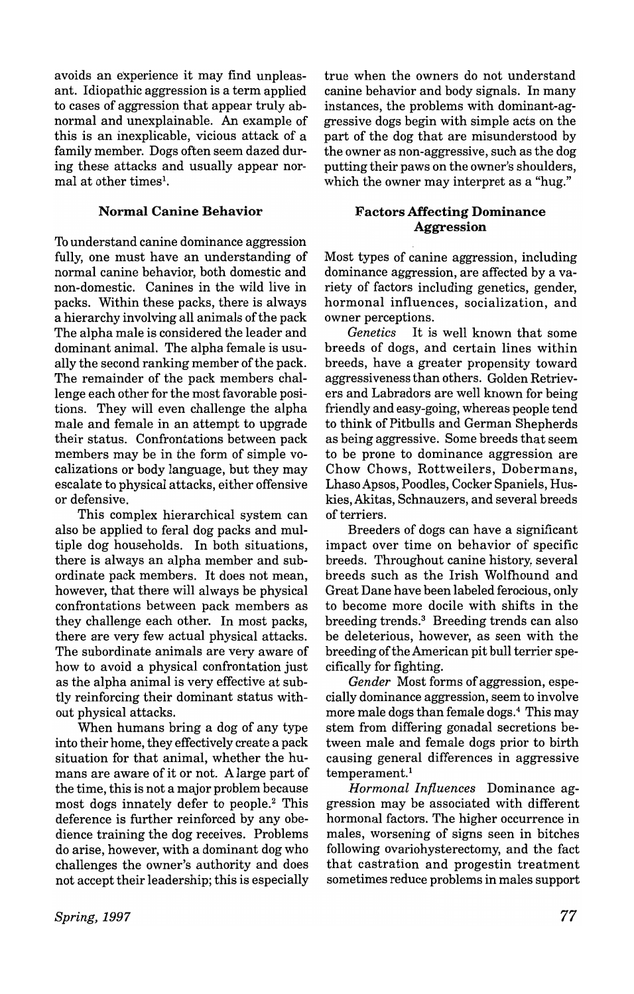avoids an experience it may find unpleasant. Idiopathic aggression is a term applied to cases of aggression that appear truly abnormal and unexplainable. An example of this is an inexplicable, vicious attack of a family member. Dogs often seem dazed during these attacks and usually appear normal at other times<sup>1</sup>.

## Normal Canine Behavior

To understand canine dominance aggression fully, one must have an understanding of normal canine behavior, both domestic and non-domestic. Canines in the wild live in packs. Within these packs, there is always a hierarchy involving all animals ofthe pack The alpha male is considered the leader and dominant animal. The alpha female is usually the second ranking member of the pack. The remainder of the pack members challenge each other for the most favorable positions. They will even challenge the alpha male and female in an attempt to upgrade their status. Confrontations between pack members may be in the form of simple vocalizations or body language, but they may escalate to physical attacks, either offensive or defensive.

This complex hierarchical system can also be applied to feral dog packs and multiple dog households. In both situations, there is always an alpha member and subordinate pack members. It does not mean, however, that there will always be physical confrontations between pack members as they challenge each other. In most packs, there are very few actual physical attacks. The subordinate animals are very aware of how to avoid a physical confrontation just as the alpha animal is very effective at subtly reinforcing their dominant status without physical attacks.

When humans bring a dog of any type into their home, they effectively create a pack situation for that animal, whether the humans are aware of it or not. A large part of the time, this is not a major problem because most dogs innately defer to people.2 This deference is further reinforced by any obedience training the dog receives. Problems do arise, however, with a dominant dog who challenges the owner's authority and does not accept their leadership; this is especially

true when the owners do not understand canine behavior and body signals. In many instances, the problems with dominant-aggressive dogs begin with simple acts on the part of the dog that are misunderstood by the owner as non-aggressive, such as the dog putting their paws on the owner's shoulders, which the owner may interpret as a "hug."

# Factors Affecting Dominance Aggression

Most types of canine aggression, including dominance aggression, are affected by a variety of factors including genetics, gender, hormonal influences, socialization, and owner perceptions.

*Genetics* It is well known that some breeds of dogs, and certain lines within breeds, have a greater propensity toward aggressiveness than others. Golden Retrievers and Labradors are well known for being friendly and easy-going, whereas people tend to think of Pitbulls and German Shepherds as being aggressive. Some breeds that seem to be prone to dominance aggression are Chow Chows, Rottweilers, Dobermans, LhasoApsos, Poodles, Cocker Spaniels, Huskies, Akitas, Schnauzers, and several breeds of terriers.

Breeders of dogs can have a significant impact over time on behavior of specific breeds. Throughout canine history, several breeds such as the Irish Wolfhound and Great Dane have been labeled ferocious, only to become more docile with shifts in the breeding trends.3 Breeding trends can also be deleterious, however, as seen with the breeding of the American pit bull terrier specifically for fighting.

*Gender* Most forms of aggression, especially dominance aggression, seem to involve more male dogs than female dogs.4 This may stem from differing gonadal secretions between male and female dogs prior to birth causing general differences in aggressive temperament.<sup>1</sup>

*Hormonal Influences* Dominance aggression may be associated with different hormonal factors. The higher occurrence in males, worsening of signs seen in bitches following ovariohysterectomy, and the fact that castration and progestin treatment sometimes reduce problems in males support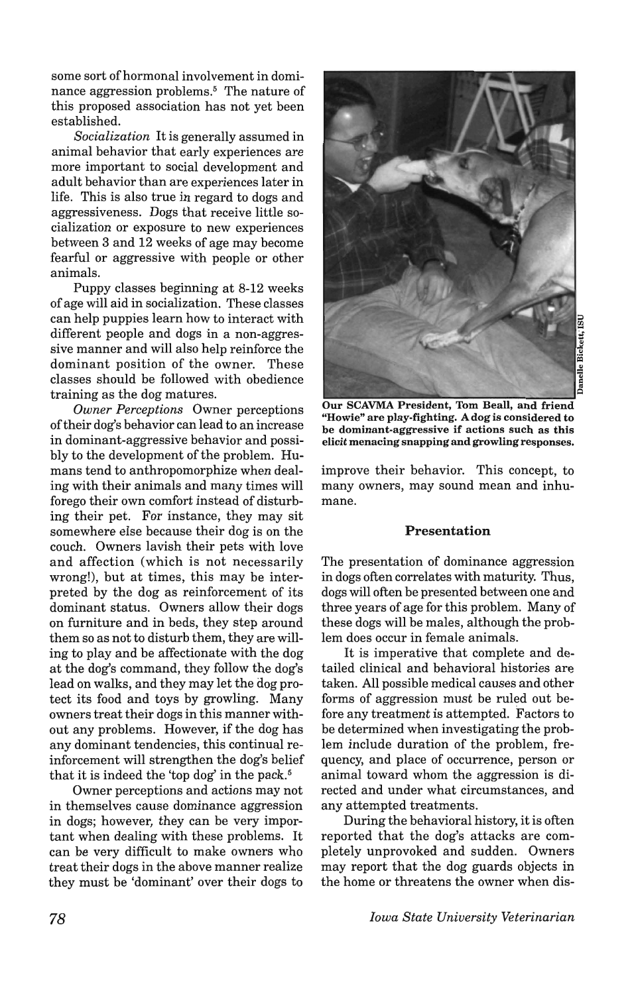some sort of hormonal involvement in dominance aggression problems.<sup>5</sup> The nature of this proposed association has not yet been established.

*Socialization* It is generally assumed in animal behavior that early experiences are more important to social development and adult behavior than are experiences later in life. This is also true in regard to dogs and aggressiveness. Dogs that receive little socialization or exposure to new experiences between 3 and 12 weeks of age may become fearful or aggressive with people or other animals.

Puppy classes beginning at 8-12 weeks of age will aid in socialization. These classes can help puppies learn how to interact with different people and dogs in a non-aggressive manner and will also help reinforce the dominant position of the owner. These classes should be followed with obedience training as the dog matures.

*Owner Perceptions* Owner perceptions of their dog's behavior can lead to an increase in dominant-aggressive behavior and possibly to the development of the problem. Humans tend to anthropomorphize when dealing with their animals and many times will forego their own comfort instead of disturbing their pet. For instance, they may sit somewhere else because their dog is on the couch. Owners lavish their pets with love and affection (which is not necessarily wrong!), but at times, this may be interpreted by the dog as reinforcement of its dominant status. Owners allow their dogs on furniture and in beds, they step around them so as not to disturb them, they are willing to play and be affectionate with the dog at the dog's command, they follow the dog's lead on walks, and they may let the dog protect its food and toys by growling. Many owners treat their dogs in this manner without any problems. However, if the dog has any dominant tendencies, this continual reinforcement will strengthen the dog's belief that it is indeed the 'top dog' in the pack.<sup>5</sup>

Owner perceptions and actions may not in themselves cause dominance aggression in dogs; however, they can be very important when dealing with these problems. It can be very difficult to make owners who treat their dogs in the above manner realize they must be 'dominant' over their dogs to



Janelle Bickett, IS

Our SCAVMA President, Tom Beall, and friend "Howie" are play-fighting. A dog is considered to be dominant-aggressive if actions such as this elicit menacing snapping and growling responses.

improve their behavior. This concept, to many owners, may sound mean and inhumane.

#### Presentation

The presentation of dominance aggression in dogs often correlates with maturity. Thus, dogs will often be presented between one and three years of age for this problem. Many of these dogs will be males, although the problem does occur in female animals.

It is imperative that complete and detailed clinical and behavioral histories are taken. All possible medical causes and other forms of aggression must be ruled out before any treatment is attempted. Factors to be determined when investigating the problem include duration of the problem, frequency, and place of occurrence, person or animal toward whom the aggression is directed and under what circumstances, and any attempted treatments.

During the behavioral history, it is often reported that the dog's attacks are completely unprovoked and sudden. Owners may report that the dog guards objects in the home or threatens the owner when dis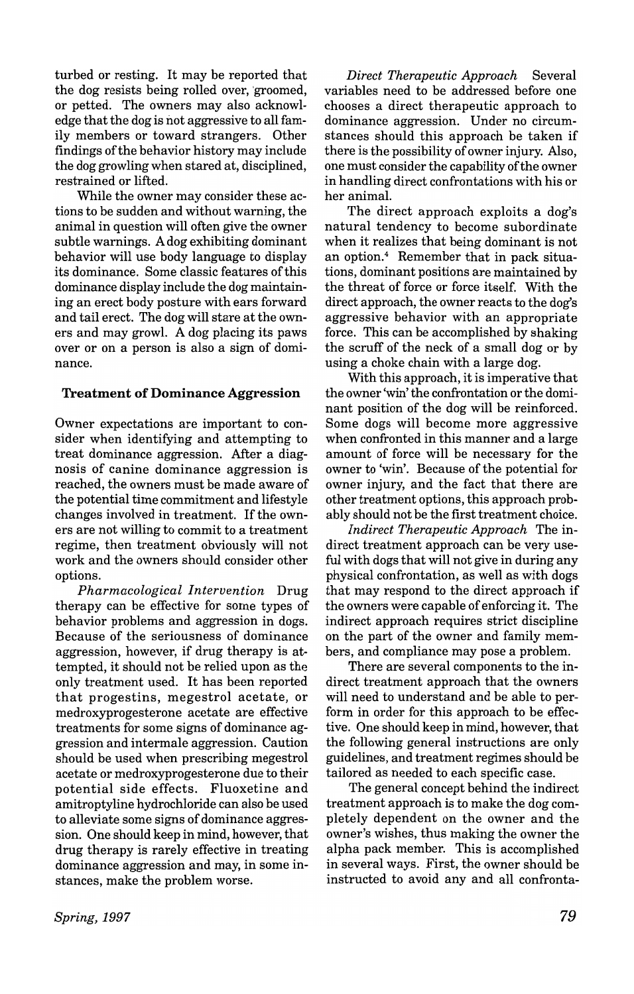turbed or resting. It may be reported that the dog resists being rolled over, 'groomed, or petted. The owners may also acknowledge that the dog is not aggressive to all family members or toward strangers. Other findings of the behavior history may include the dog growling when stared at, disciplined, restrained or lifted.

While the owner may consider these actions to be sudden and without warning, the animal in question will often give the owner subtle warnings. A dog exhibiting dominant behavior will use body language to display its dominance. Some classic features of this dominance display include the dog maintaining an erect body posture with ears forward and tail erect. The dog will stare at the owners and may growl. A dog placing its paws over or on a person is also a sign of dominance.

#### Treatment of Dominance Aggression

Owner expectations are important to consider when identifying and attempting to treat dominance aggression. After a diagnosis of canine dominance aggression is reached, the owners must be made aware of the potential time commitment and lifestyle changes involved in treatment. If the owners are not willing to commit to a treatment regime, then treatment obviously will not work and the owners should consider other options.

*Pharmacological Intervention* Drug therapy can be effective for some types of behavior problems and aggression in dogs. Because of the seriousness of dominance aggression, however, if drug therapy is attempted, it should not be relied upon as the only treatment used. It has been reported that progestins, megestrol acetate, or medroxyprogesterone acetate are effective treatments for some signs of dominance aggression and intermale aggression. Caution should be used when prescribing megestrol acetate or medroxyprogesterone due to their potential side effects. Fluoxetine and amitroptyline hydrochloride can also be used to alleviate some signs of dominance aggression. One should keep in mind, however, that drug therapy is rarely effective in treating dominance aggression and may, in some instances, make the problem worse.

*Direct Therapeutic Approach* Several variables need to be addressed before one chooses a direct therapeutic approach to dominance aggression. Under no circumstances should this approach be taken if there is the possibility of owner injury. Also, one must consider the capability of the owner in handling direct confrontations with his or her animal.

The direct approach exploits a dog's natural tendency to become subordinate when it realizes that being dominant is not an option.4 Remember that in pack situations, dominant positions are maintained by the threat of force or force itself. With the direct approach, the owner reacts to the dog's aggressive behavior with an appropriate force. This can be accomplished by shaking the scruff of the neck of a small dog or by using a choke chain with a large dog.

With this approach, it is imperative that the owner 'win' the confrontation or the dominant position of the dog will be reinforced. Some dogs will become more aggressive when confronted in this manner and a large amount of force will be necessary for the owner to 'win'. Because of the potential for owner injury, and the fact that there are other treatment options, this approach probably should not be the first treatment choice.

*Indirect Therapeutic Approach* The indirect treatment approach can be very useful with dogs that will not give in during any physical confrontation, as well as with dogs that may respond to the direct approach if the owners were capable of enforcing it. The indirect approach requires strict discipline on the part of the owner and family members, and compliance may pose a problem.

There are several components to the indirect treatment approach that the owners will need to understand and be able to perform in order for this approach to be effective. One should keep in mind, however, that the following general instructions are only guidelines, and treatment regimes should be tailored as needed to each specific case.

The general concept behind the indirect treatment approach is to make the dog completely dependent on the owner and the owner's wishes, thus making the owner the alpha pack member. This is accomplished in several ways. First, the owner should be instructed to avoid any and all confronta-

*Spring,* 1997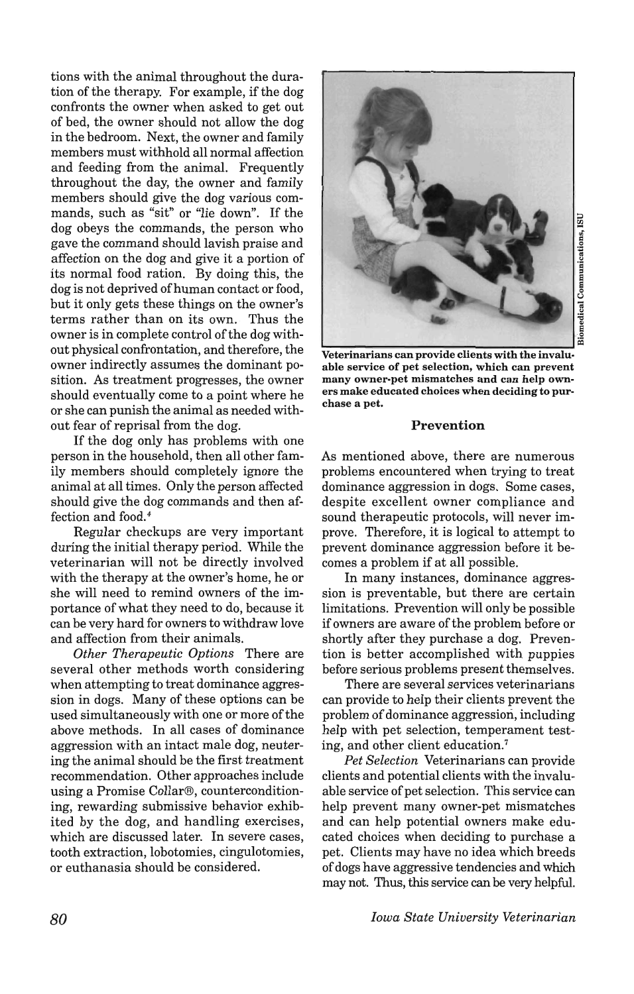tions with the animal throughout the duration of the therapy. For example, if the dog confronts the owner when asked to get out of bed, the owner should not allow the dog in the bedroom. Next, the owner and family members must withhold all normal affection and feeding from the animal. Frequently throughout the day, the owner and family members should give the dog various commands, such as "sit" or "lie down". If the dog obeys the commands, the person who gave the command should lavish praise and affection on the dog and give it a portion of its normal food ration. By doing this, the dog is not deprived of human contact or food, but it only gets these things on the owner's terms rather than on its own. Thus the owner is in complete control of the dog without physical confrontation, and therefore, the owner indirectly assumes the dominant position. As treatment progresses, the owner should eventually come to a point where he or she can punish the animal as needed without fear of reprisal from the dog.

If the dog only has problems with one person in the household, then all other family members should completely ignore the animal at all times. Only the person affected should give the dog commands and then affection and food.<sup>4</sup>

Regular checkups are very important during the initial therapy period. While the veterinarian will not be directly involved with the therapy at the owner's home, he or she will need to remind owners of the importance of what they need to do, because it can be very hard for owners to withdraw love and affection from their animals.

*Other Therapeutic Options* There are several other methods worth considering when attempting to treat dominance aggression in dogs. Many of these options can be used simultaneously with one or more of the above methods. In all cases of dominance aggression with an intact male dog, neutering the animal should be the first treatment recommendation. Other approaches include using a Promise Collar®, counterconditioning, rewarding submissive behavior exhibited by the dog, and handling exercises, which are discussed later. In severe cases, tooth extraction, lobotomies, cingulotomies, or euthanasia should be considered.



 $r =$ <u>ំ</u>  $\bar{a}$ omec

ons,

Veterinarians can provide clients with the invaluable service of pet selection, which can prevent many owner-pet mismatches and can help owners make educated choices when deciding to purchase a pet.

#### Prevention

As mentioned above, there are numerous problems encountered when trying to treat dominance aggression in dogs. Some cases, despite excellent owner compliance and sound therapeutic protocols, will never improve. Therefore, it is logical to attempt to prevent dominance aggression before it becomes a problem if at all possible.

In many instances, dominance aggression is preventable, but there are certain limitations. Prevention will only be possible if owners are aware of the problem before or shortly after they purchase a dog. Prevention is better accomplished with puppies before serious problems present themselves.

There are several services veterinarians can provide to help their clients prevent the problem of dominance aggression, including help with pet selection, temperament testing, and other client education.?

*Pet Selection* Veterinarians can provide clients and potential clients with the invaluable service of pet selection. This service can help prevent many owner-pet mismatches and can help potential owners make educated choices when deciding to purchase a pet. Clients may have no idea which breeds of dogs have aggressive tendencies and which may not. Thus, this service can be very helpful.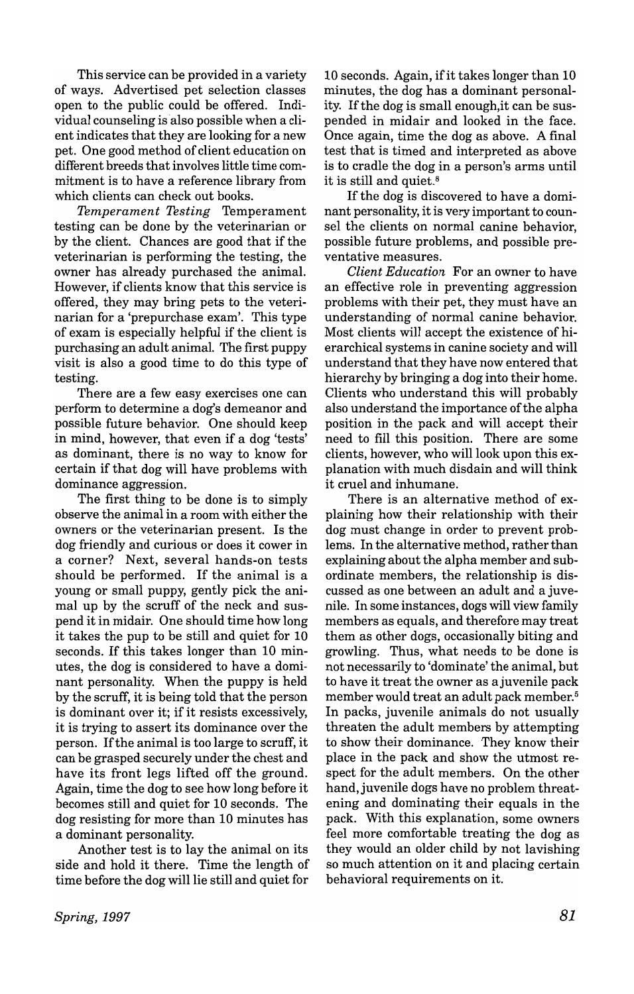This service can be provided in a variety of ways. Advertised pet selection classes open to the public could be offered. Individual counseling is also possible when a client indicates that they are looking for a new pet. One good method of client education on different breeds that involves little time commitment is to have a reference library from which clients can check out books.

*Temperament Testing* Temperament testing can be done by the veterinarian or by the client. Chances are good that if the veterinarian is performing the testing, the owner has already purchased the animal. However, if clients know that this service is offered, they may bring pets to the veterinarian for a 'prepurchase exam'. This type of exam is especially helpful if the client is purchasing an adult animal. The first puppy visit is also a good time to do this type of testing.

There are a few easy exercises one can perform to determine a dog's demeanor and possible future behavior. One should keep in mind, however, that even if a dog 'tests' as dominant, there is no way to know for certain if that dog will have problems with dominance aggression.

The first thing to be done is to simply observe the animal in a room with either the owners or the veterinarian present. Is the dog friendly and curious or does it cower in a corner? Next, several hands-on tests should be performed. If the animal is a young or small puppy, gently pick the animal up by the scruff of the neck and suspend it in midair. One should time how long it takes the pup to be still and quiet for 10 seconds. If this takes longer than 10 minutes, the dog is considered to have a dominant personality. When the puppy is held by the scruff, it is being told that the person is dominant over it; if it resists excessively, it is trying to assert its dominance over the person. If the animal is too large to scruff, it can be grasped securely under the chest and have its front legs lifted off the ground. Again, time the dog to see how long before it becomes still and quiet for 10 seconds. The dog resisting for more than 10 minutes has a dominant personality.

Another test is to lay the animal on its side and hold it there. Time the length of time before the dog will lie still and quiet for 10 seconds. Again, ifit takes longer than 10 minutes, the dog has a dominant personality. If the dog is small enough,it can be suspended in midair and looked in the face. Once again, time the dog as above. A final test that is timed and interpreted as above is to cradle the dog in a person's arms until it is still and quiet.<sup>8</sup>

If the dog is discovered to have a dominant personality, it is very important to counsel the clients on normal canine behavior, possible future problems, and possible preventative measures.

*Client Education* For an owner to have an effective role in preventing aggression problems with their pet, they must have an understanding of normal canine behavior. Most clients will accept the existence of hierarchical systems in canine society and will understand that they have now entered that hierarchy by bringing a dog into their home. Clients who understand this will probably also understand the importance ofthe alpha position in the pack and will accept their need to fill this position. There are some clients, however, who will look upon this explanation with much disdain and will think it cruel and inhumane.

There is an alternative method of explaining how their relationship with their dog must change in order to prevent problems. In the alternative method, rather than explaining about the alpha member and subordinate members, the relationship is discussed as one between an adult and a juvenile. In some instances, dogs will view family members as equals, and therefore may treat them as other dogs, occasionally biting and growling. Thus, what needs to be done is not necessarily to 'dominate' the animal, but to have it treat the owner as a juvenile pack member would treat an adult pack member.5 In packs, juvenile animals do not usually threaten the adult members by attempting to show their dominance. They know their place in the pack and show the utmost respect for the adult members. On the other hand, juvenile dogs have no problem threatening and dominating their equals in the pack. With this explanation, some owners feel more comfortable treating the dog as they would an older child by not lavishing so much attention on it and placing certain behavioral requirements on it.